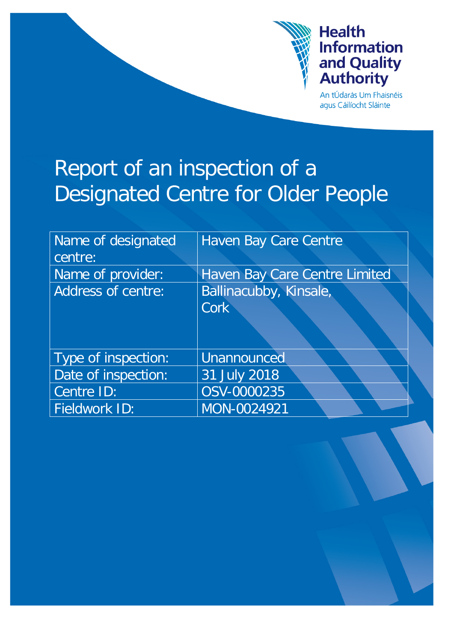

# **Health Information** and Quality<br>Authority

An tÚdarás Um Fhaisnéis agus Cáilíocht Sláinte

# Report of an inspection of a Designated Centre for Older People

| Name of designated        | Haven Bay Care Centre         |
|---------------------------|-------------------------------|
| centre:                   |                               |
| Name of provider:         | Haven Bay Care Centre Limited |
| <b>Address of centre:</b> | Ballinacubby, Kinsale,        |
|                           | <b>Cork</b>                   |
|                           |                               |
| Type of inspection:       | Unannounced                   |
| Date of inspection:       | 31 July 2018                  |
| Centre ID:                | OSV-0000235                   |
| Fieldwork ID:             | MON-0024921                   |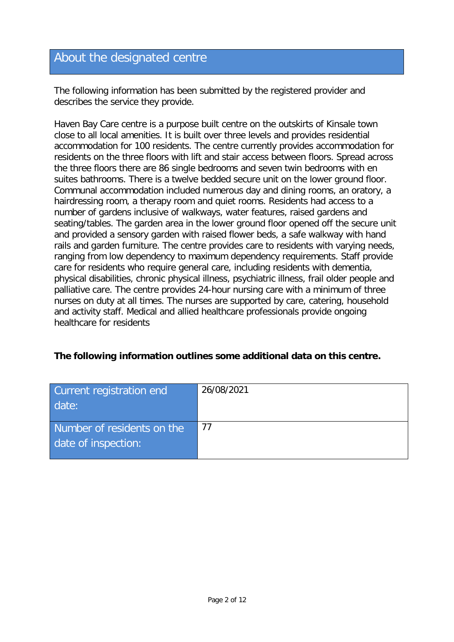# About the designated centre

The following information has been submitted by the registered provider and describes the service they provide.

Haven Bay Care centre is a purpose built centre on the outskirts of Kinsale town close to all local amenities. It is built over three levels and provides residential accommodation for 100 residents. The centre currently provides accommodation for residents on the three floors with lift and stair access between floors. Spread across the three floors there are 86 single bedrooms and seven twin bedrooms with en suites bathrooms. There is a twelve bedded secure unit on the lower ground floor. Communal accommodation included numerous day and dining rooms, an oratory, a hairdressing room, a therapy room and quiet rooms. Residents had access to a number of gardens inclusive of walkways, water features, raised gardens and seating/tables. The garden area in the lower ground floor opened off the secure unit and provided a sensory garden with raised flower beds, a safe walkway with hand rails and garden furniture. The centre provides care to residents with varying needs, ranging from low dependency to maximum dependency requirements. Staff provide care for residents who require general care, including residents with dementia, physical disabilities, chronic physical illness, psychiatric illness, frail older people and palliative care. The centre provides 24-hour nursing care with a minimum of three nurses on duty at all times. The nurses are supported by care, catering, household and activity staff. Medical and allied healthcare professionals provide ongoing healthcare for residents

#### **The following information outlines some additional data on this centre.**

| Current registration end<br>date:                 | 26/08/2021 |
|---------------------------------------------------|------------|
| Number of residents on the<br>date of inspection: | 77         |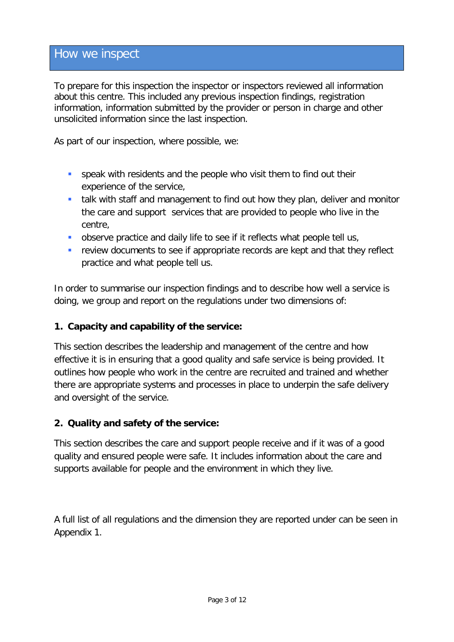# How we inspect

To prepare for this inspection the inspector or inspectors reviewed all information about this centre. This included any previous inspection findings, registration information, information submitted by the provider or person in charge and other unsolicited information since the last inspection.

As part of our inspection, where possible, we:

- speak with residents and the people who visit them to find out their experience of the service,
- **talk with staff and management to find out how they plan, deliver and monitor** the care and support services that are provided to people who live in the centre,
- **•** observe practice and daily life to see if it reflects what people tell us,
- **F** review documents to see if appropriate records are kept and that they reflect practice and what people tell us.

In order to summarise our inspection findings and to describe how well a service is doing, we group and report on the regulations under two dimensions of:

#### **1. Capacity and capability of the service:**

This section describes the leadership and management of the centre and how effective it is in ensuring that a good quality and safe service is being provided. It outlines how people who work in the centre are recruited and trained and whether there are appropriate systems and processes in place to underpin the safe delivery and oversight of the service.

#### **2. Quality and safety of the service:**

This section describes the care and support people receive and if it was of a good quality and ensured people were safe. It includes information about the care and supports available for people and the environment in which they live.

A full list of all regulations and the dimension they are reported under can be seen in Appendix 1.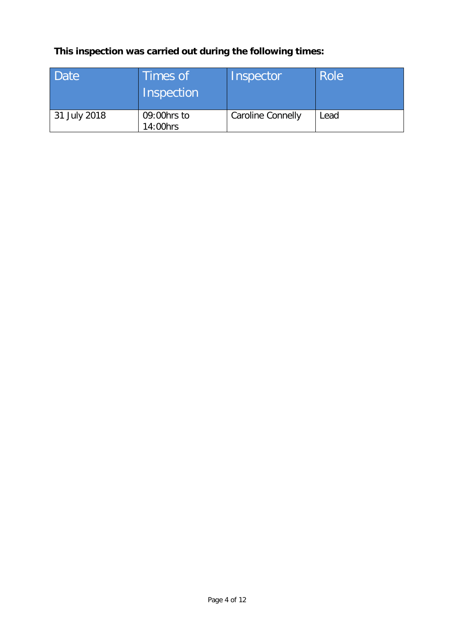# **This inspection was carried out during the following times:**

| Date         | Times of<br>Inspection  | Inspector                | <b>Role</b> |
|--------------|-------------------------|--------------------------|-------------|
| 31 July 2018 | 09:00hrs to<br>14:00hrs | <b>Caroline Connelly</b> | Lead        |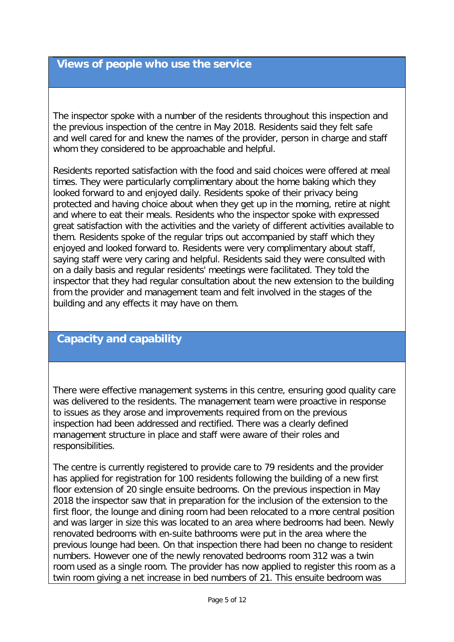#### **Views of people who use the service**

The inspector spoke with a number of the residents throughout this inspection and the previous inspection of the centre in May 2018. Residents said they felt safe and well cared for and knew the names of the provider, person in charge and staff whom they considered to be approachable and helpful.

Residents reported satisfaction with the food and said choices were offered at meal times. They were particularly complimentary about the home baking which they looked forward to and enjoyed daily. Residents spoke of their privacy being protected and having choice about when they get up in the morning, retire at night and where to eat their meals. Residents who the inspector spoke with expressed great satisfaction with the activities and the variety of different activities available to them. Residents spoke of the regular trips out accompanied by staff which they enjoyed and looked forward to. Residents were very complimentary about staff, saying staff were very caring and helpful. Residents said they were consulted with on a daily basis and regular residents' meetings were facilitated. They told the inspector that they had regular consultation about the new extension to the building from the provider and management team and felt involved in the stages of the building and any effects it may have on them.

# **Capacity and capability**

There were effective management systems in this centre, ensuring good quality care was delivered to the residents. The management team were proactive in response to issues as they arose and improvements required from on the previous inspection had been addressed and rectified. There was a clearly defined management structure in place and staff were aware of their roles and responsibilities.

The centre is currently registered to provide care to 79 residents and the provider has applied for registration for 100 residents following the building of a new first floor extension of 20 single ensuite bedrooms. On the previous inspection in May 2018 the inspector saw that in preparation for the inclusion of the extension to the first floor, the lounge and dining room had been relocated to a more central position and was larger in size this was located to an area where bedrooms had been. Newly renovated bedrooms with en-suite bathrooms were put in the area where the previous lounge had been. On that inspection there had been no change to resident numbers. However one of the newly renovated bedrooms room 312 was a twin room used as a single room. The provider has now applied to register this room as a twin room giving a net increase in bed numbers of 21. This ensuite bedroom was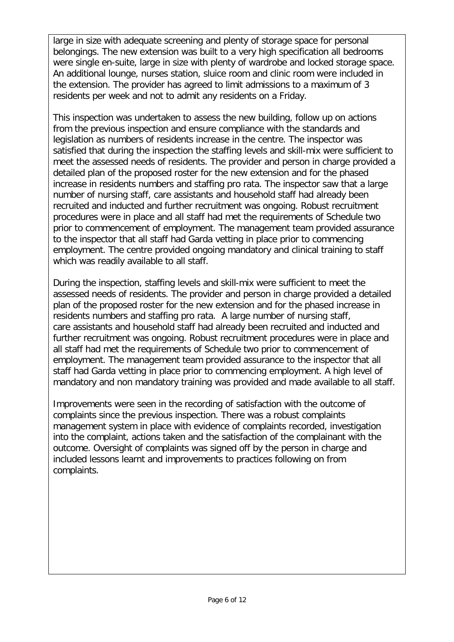large in size with adequate screening and plenty of storage space for personal belongings. The new extension was built to a very high specification all bedrooms were single en-suite, large in size with plenty of wardrobe and locked storage space. An additional lounge, nurses station, sluice room and clinic room were included in the extension. The provider has agreed to limit admissions to a maximum of 3 residents per week and not to admit any residents on a Friday.

This inspection was undertaken to assess the new building, follow up on actions from the previous inspection and ensure compliance with the standards and legislation as numbers of residents increase in the centre. The inspector was satisfied that during the inspection the staffing levels and skill-mix were sufficient to meet the assessed needs of residents. The provider and person in charge provided a detailed plan of the proposed roster for the new extension and for the phased increase in residents numbers and staffing pro rata. The inspector saw that a large number of nursing staff, care assistants and household staff had already been recruited and inducted and further recruitment was ongoing. Robust recruitment procedures were in place and all staff had met the requirements of Schedule two prior to commencement of employment. The management team provided assurance to the inspector that all staff had Garda vetting in place prior to commencing employment. The centre provided ongoing mandatory and clinical training to staff which was readily available to all staff.

During the inspection, staffing levels and skill-mix were sufficient to meet the assessed needs of residents. The provider and person in charge provided a detailed plan of the proposed roster for the new extension and for the phased increase in residents numbers and staffing pro rata. A large number of nursing staff, care assistants and household staff had already been recruited and inducted and further recruitment was ongoing. Robust recruitment procedures were in place and all staff had met the requirements of Schedule two prior to commencement of employment. The management team provided assurance to the inspector that all staff had Garda vetting in place prior to commencing employment. A high level of mandatory and non mandatory training was provided and made available to all staff.

Improvements were seen in the recording of satisfaction with the outcome of complaints since the previous inspection. There was a robust complaints management system in place with evidence of complaints recorded, investigation into the complaint, actions taken and the satisfaction of the complainant with the outcome. Oversight of complaints was signed off by the person in charge and included lessons learnt and improvements to practices following on from complaints.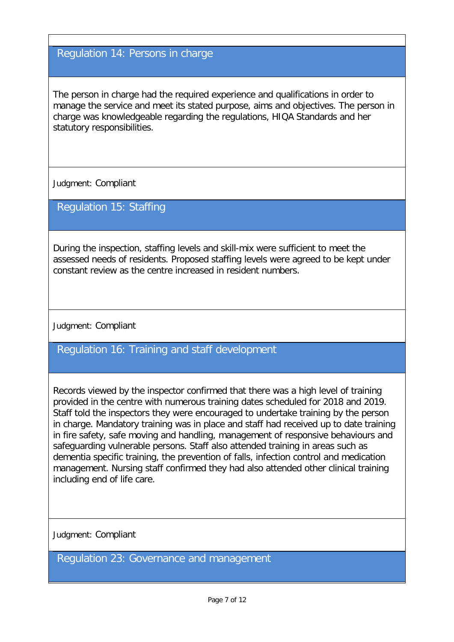#### Regulation 14: Persons in charge

The person in charge had the required experience and qualifications in order to manage the service and meet its stated purpose, aims and objectives. The person in charge was knowledgeable regarding the regulations, HIQA Standards and her statutory responsibilities.

Judgment: Compliant

#### Regulation 15: Staffing

During the inspection, staffing levels and skill-mix were sufficient to meet the assessed needs of residents. Proposed staffing levels were agreed to be kept under constant review as the centre increased in resident numbers.

Judgment: Compliant

# Regulation 16: Training and staff development

Records viewed by the inspector confirmed that there was a high level of training provided in the centre with numerous training dates scheduled for 2018 and 2019. Staff told the inspectors they were encouraged to undertake training by the person in charge. Mandatory training was in place and staff had received up to date training in fire safety, safe moving and handling, management of responsive behaviours and safeguarding vulnerable persons. Staff also attended training in areas such as dementia specific training, the prevention of falls, infection control and medication management. Nursing staff confirmed they had also attended other clinical training including end of life care.

Judgment: Compliant

Regulation 23: Governance and management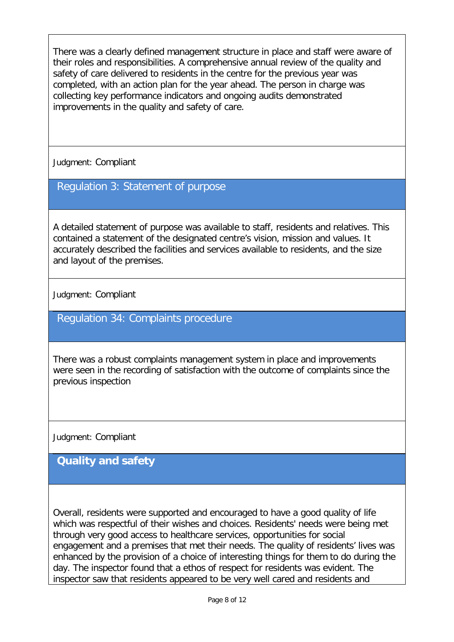There was a clearly defined management structure in place and staff were aware of their roles and responsibilities. A comprehensive annual review of the quality and safety of care delivered to residents in the centre for the previous year was completed, with an action plan for the year ahead. The person in charge was collecting key performance indicators and ongoing audits demonstrated improvements in the quality and safety of care.

Judgment: Compliant

### Regulation 3: Statement of purpose

A detailed statement of purpose was available to staff, residents and relatives. This contained a statement of the designated centre's vision, mission and values. It accurately described the facilities and services available to residents, and the size and layout of the premises.

Judgment: Compliant

#### Regulation 34: Complaints procedure

There was a robust complaints management system in place and improvements were seen in the recording of satisfaction with the outcome of complaints since the previous inspection

Judgment: Compliant

# **Quality and safety**

Overall, residents were supported and encouraged to have a good quality of life which was respectful of their wishes and choices. Residents' needs were being met through very good access to healthcare services, opportunities for social engagement and a premises that met their needs. The quality of residents' lives was enhanced by the provision of a choice of interesting things for them to do during the day. The inspector found that a ethos of respect for residents was evident. The inspector saw that residents appeared to be very well cared and residents and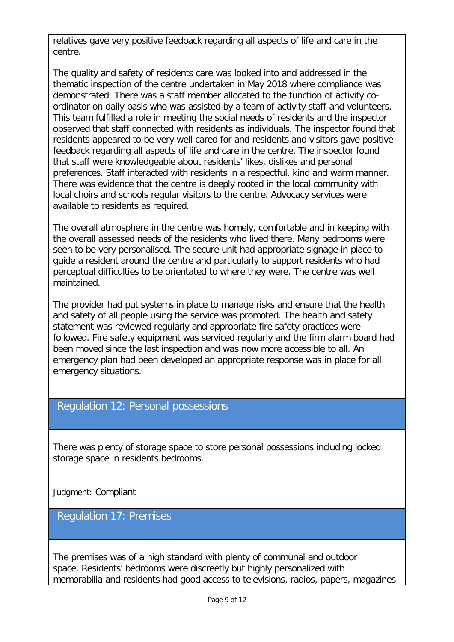relatives gave very positive feedback regarding all aspects of life and care in the centre.

The quality and safety of residents care was looked into and addressed in the thematic inspection of the centre undertaken in May 2018 where compliance was demonstrated. There was a staff member allocated to the function of activity coordinator on daily basis who was assisted by a team of activity staff and volunteers. This team fulfilled a role in meeting the social needs of residents and the inspector observed that staff connected with residents as individuals. The inspector found that residents appeared to be very well cared for and residents and visitors gave positive feedback regarding all aspects of life and care in the centre. The inspector found that staff were knowledgeable about residents' likes, dislikes and personal preferences. Staff interacted with residents in a respectful, kind and warm manner. There was evidence that the centre is deeply rooted in the local community with local choirs and schools regular visitors to the centre. Advocacy services were available to residents as required.

The overall atmosphere in the centre was homely, comfortable and in keeping with the overall assessed needs of the residents who lived there. Many bedrooms were seen to be very personalised. The secure unit had appropriate signage in place to guide a resident around the centre and particularly to support residents who had perceptual difficulties to be orientated to where they were. The centre was well maintained.

The provider had put systems in place to manage risks and ensure that the health and safety of all people using the service was promoted. The health and safety statement was reviewed regularly and appropriate fire safety practices were followed. Fire safety equipment was serviced regularly and the firm alarm board had been moved since the last inspection and was now more accessible to all. An emergency plan had been developed an appropriate response was in place for all emergency situations.

#### Regulation 12: Personal possessions

There was plenty of storage space to store personal possessions including locked storage space in residents bedrooms.

Judgment: Compliant

#### Regulation 17: Premises

The premises was of a high standard with plenty of communal and outdoor space. Residents' bedrooms were discreetly but highly personalized with memorabilia and residents had good access to televisions, radios, papers, magazines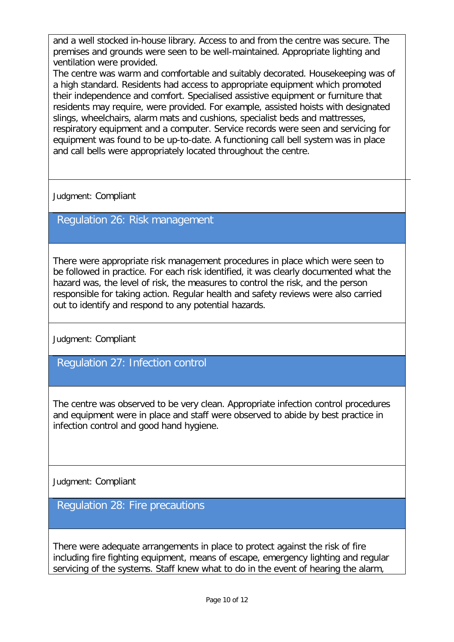and a well stocked in-house library. Access to and from the centre was secure. The premises and grounds were seen to be well-maintained. Appropriate lighting and ventilation were provided.

The centre was warm and comfortable and suitably decorated. Housekeeping was of a high standard. Residents had access to appropriate equipment which promoted their independence and comfort. Specialised assistive equipment or furniture that residents may require, were provided. For example, assisted hoists with designated slings, wheelchairs, alarm mats and cushions, specialist beds and mattresses, respiratory equipment and a computer. Service records were seen and servicing for equipment was found to be up-to-date. A functioning call bell system was in place and call bells were appropriately located throughout the centre.

Judgment: Compliant

Regulation 26: Risk management

There were appropriate risk management procedures in place which were seen to be followed in practice. For each risk identified, it was clearly documented what the hazard was, the level of risk, the measures to control the risk, and the person responsible for taking action. Regular health and safety reviews were also carried out to identify and respond to any potential hazards.

Judgment: Compliant

Regulation 27: Infection control

The centre was observed to be very clean. Appropriate infection control procedures and equipment were in place and staff were observed to abide by best practice in infection control and good hand hygiene.

Judgment: Compliant

Regulation 28: Fire precautions

There were adequate arrangements in place to protect against the risk of fire including fire fighting equipment, means of escape, emergency lighting and regular servicing of the systems. Staff knew what to do in the event of hearing the alarm,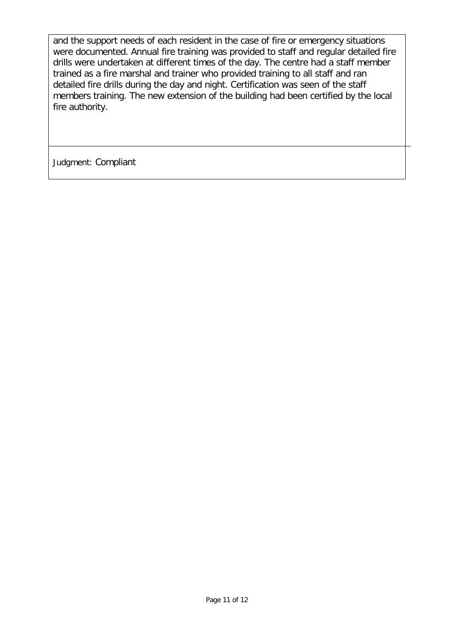and the support needs of each resident in the case of fire or emergency situations were documented. Annual fire training was provided to staff and regular detailed fire drills were undertaken at different times of the day. The centre had a staff member trained as a fire marshal and trainer who provided training to all staff and ran detailed fire drills during the day and night. Certification was seen of the staff members training. The new extension of the building had been certified by the local fire authority.

Judgment: Compliant